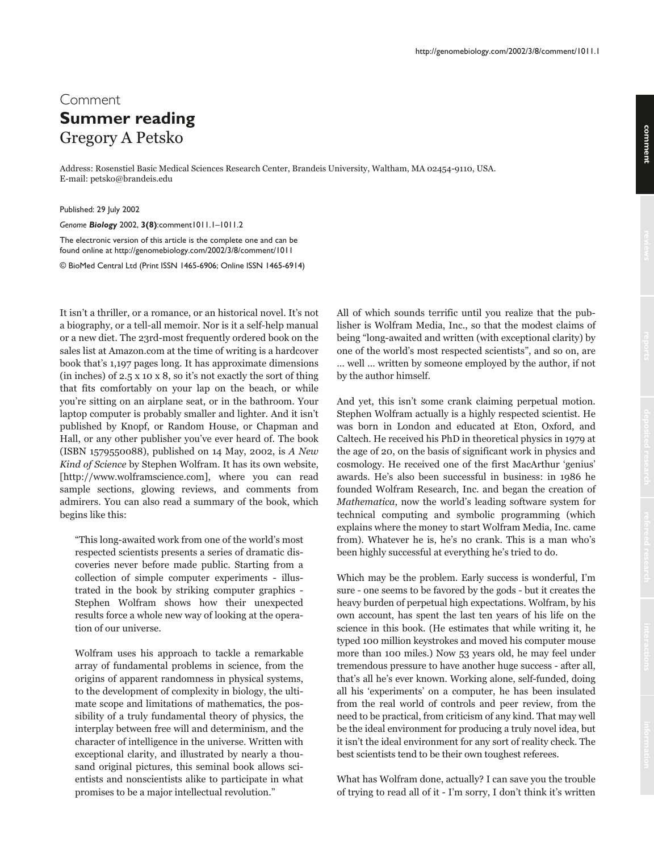## comment **comment**

## Comment **Summer reading Gregory A Petsko**

Address: Rosenstiel Basic Medical Sciences Research Center, Brandeis University, Waltham, MA 02454-9110, USA. E-mail: petsko@brandeis.edu

Published: 29 July 2002

*Genome Biology* 2002, **3(8)**:comment1011.1–1011.2

The electronic version of this article is the complete one and can be found online at http://genomebiology.com/2002/3/8/comment/1011

© BioMed Central Ltd (Print ISSN 1465-6906; Online ISSN 1465-6914)

It isn't a thriller, or a romance, or an historical novel. It's not a biography, or a tell-all memoir. Nor is it a self-help manual or a new diet. The 23rd-most frequently ordered book on the sales list at Amazon.com at the time of writing is a hardcover book that's 1,197 pages long. It has approximate dimensions  $(in inches)$  of  $2.5 \times 10 \times 8$ , so it's not exactly the sort of thing that fits comfortably on your lap on the beach, or while you're sitting on an airplane seat, or in the bathroom. Your laptop computer is probably smaller and lighter. And it isn't published by Knopf, or Random House, or Chapman and Hall, or any other publisher you've ever heard of. The book (ISBN 1579550088), published on 14 May, 2002, is A New Kind of Science by Stephen Wolfram. It has its own website, [http://www.wolframscience.com], where you can read sample sections, glowing reviews, and comments from admirers. You can also read a summary of the book, which begins like this:

"This long-awaited work from one of the world's most respected scientists presents a series of dramatic discoveries never before made public. Starting from a collection of simple computer experiments - illustrated in the book by striking computer graphics -Stephen Wolfram shows how their unexpected results force a whole new way of looking at the operation of our universe.

Wolfram uses his approach to tackle a remarkable array of fundamental problems in science, from the origins of apparent randomness in physical systems, to the development of complexity in biology, the ultimate scope and limitations of mathematics, the possibility of a truly fundamental theory of physics, the interplay between free will and determinism, and the character of intelligence in the universe. Written with exceptional clarity, and illustrated by nearly a thousand original pictures, this seminal book allows scientists and nonscientists alike to participate in what promises to be a major intellectual revolution."

All of which sounds terrific until you realize that the publisher is Wolfram Media, Inc., so that the modest claims of being "long-awaited and written (with exceptional clarity) by one of the world's most respected scientists", and so on, are ... well ... written by someone employed by the author, if not by the author himself.

And yet, this isn't some crank claiming perpetual motion. Stephen Wolfram actually is a highly respected scientist. He was born in London and educated at Eton, Oxford, and Caltech. He received his PhD in theoretical physics in 1979 at the age of 20, on the basis of significant work in physics and cosmology. He received one of the first MacArthur 'genius' awards. He's also been successful in business: in 1986 he founded Wolfram Research, Inc. and began the creation of Mathematica, now the world's leading software system for technical computing and symbolic programming (which explains where the money to start Wolfram Media, Inc. came from). Whatever he is, he's no crank. This is a man who's been highly successful at everything he's tried to do.

Which may be the problem. Early success is wonderful, I'm sure - one seems to be favored by the gods - but it creates the heavy burden of perpetual high expectations. Wolfram, by his own account, has spent the last ten years of his life on the science in this book. (He estimates that while writing it, he typed 100 million keystrokes and moved his computer mouse more than 100 miles.) Now 53 years old, he may feel under tremendous pressure to have another huge success - after all, that's all he's ever known. Working alone, self-funded, doing all his 'experiments' on a computer, he has been insulated from the real world of controls and peer review, from the need to be practical, from criticism of any kind. That may well be the ideal environment for producing a truly novel idea, but it isn't the ideal environment for any sort of reality check. The best scientists tend to be their own toughest referees.

What has Wolfram done, actually? I can save you the trouble of trying to read all of it - I'm sorry, I don't think it's written